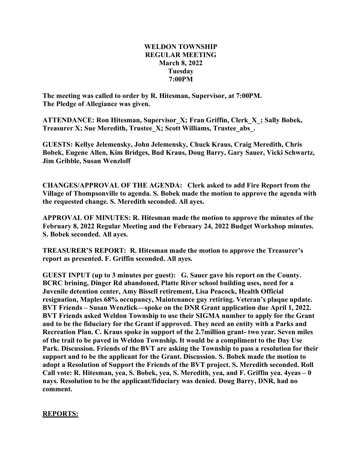## **WELDON TOWNSHIP REGULAR MEETING March 8, 2022 Tuesday 7:00PM**

**The meeting was called to order by R. Hitesman, Supervisor, at 7:00PM. The Pledge of Allegiance was given.**

**ATTENDANCE: Ron Hitesman, Supervisor\_X; Fran Griffin, Clerk\_X\_; Sally Bobek, Treasurer X; Sue Meredith, Trustee\_X; Scott Williams, Trustee\_abs\_.**

**GUESTS: Kellye Jelemensky, John Jelemensky, Chuck Kraus, Craig Meredith, Chris Bobek, Eugene Allen, Kim Bridges, Bud Kraus, Doug Barry, Gary Sauer, Vicki Schwartz, Jim Gribble, Susan Wenzloff**

**CHANGES/APPROVAL OF THE AGENDA: Clerk asked to add Fire Report from the Village of Thompsonville to agenda. S. Bobek made the motion to approve the agenda with the requested change. S. Meredith seconded. All ayes.**

**APPROVAL OF MINUTES: R. Hitesman made the motion to approve the minutes of the February 8, 2022 Regular Meeting and the February 24, 2022 Budget Workshop minutes. S. Bobek seconded. All ayes.**

**TREASURER'S REPORT: R. Hitesman made the motion to approve the Treasurer's report as presented. F. Griffin seconded. All ayes.**

**GUEST INPUT (up to 3 minutes per guest): G. Sauer gave his report on the County. BCRC brining, Dinger Rd abandoned, Platte River school building uses, need for a Juvenile detention center, Amy Bissell retirement, Lisa Peacock, Health Official resignation, Maples 68% occupancy, Maintenance guy retiring. Veteran's plaque update. BVT Friends – Susan Wenzlick—spoke on the DNR Grant application due April 1, 2022. BVT Friends asked Weldon Township to use their SIGMA number to apply for the Grant and to be the fiduciary for the Grant if approved. They need an entity with a Parks and Recreation Plan. C. Kraus spoke in support of the 2.7million grant- two year. Seven miles of the trail to be paved in Weldon Township. It would be a compliment to the Day Use Park. Discussion. Friends of the BVT are asking the Township to pass a resolution for their support and to be the applicant for the Grant. Discussion. S. Bobek made the motion to adopt a Resolution of Support the Friends of the BVT project. S. Meredith seconded. Roll Call vote: R. Hitesman, yea, S. Bobek, yea, S. Meredith, yea, and F. Griffin yea. 4yeas – 0 nays. Resolution to be the applicant/fiduciary was denied. Doug Barry, DNR, had no comment.**

## **REPORTS:**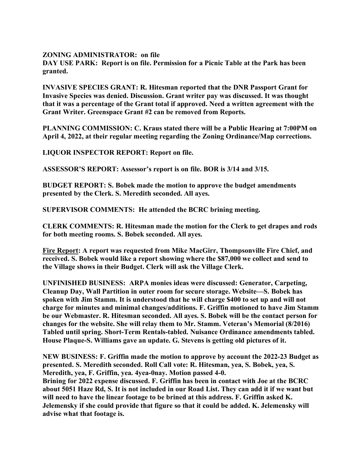**ZONING ADMINISTRATOR: on file**

**DAY USE PARK: Report is on file. Permission for a Picnic Table at the Park has been granted.**

**INVASIVE SPECIES GRANT: R. Hitesman reported that the DNR Passport Grant for Invasive Species was denied. Discussion. Grant writer pay was discussed. It was thought that it was a percentage of the Grant total if approved. Need a written agreement with the Grant Writer. Greenspace Grant #2 can be removed from Reports.**

**PLANNING COMMISSION: C. Kraus stated there will be a Public Hearing at 7:00PM on April 4, 2022, at their regular meeting regarding the Zoning Ordinance/Map corrections.**

**LIQUOR INSPECTOR REPORT: Report on file.**

**ASSESSOR'S REPORT: Assessor's report is on file. BOR is 3/14 and 3/15.**

**BUDGET REPORT: S. Bobek made the motion to approve the budget amendments presented by the Clerk. S. Meredith seconded. All ayes.**

**SUPERVISOR COMMENTS: He attended the BCRC brining meeting.**

**CLERK COMMENTS: R. Hitesman made the motion for the Clerk to get drapes and rods for both meeting rooms. S. Bobek seconded. All ayes.**

**Fire Report: A report was requested from Mike MacGirr, Thompsonville Fire Chief, and received. S. Bobek would like a report showing where the \$87,000 we collect and send to the Village shows in their Budget. Clerk will ask the Village Clerk.**

**UNFINISHED BUSINESS: ARPA monies ideas were discussed: Generator, Carpeting, Cleanup Day, Wall Partition in outer room for secure storage. Website—S. Bobek has spoken with Jim Stamm. It is understood that he will charge \$400 to set up and will not charge for minutes and minimal changes/additions. F. Griffin motioned to have Jim Stamm be our Webmaster. R. Hitesman seconded. All ayes. S. Bobek will be the contact person for changes for the website. She will relay them to Mr. Stamm. Veteran's Memorial (8/2016) Tabled until spring. Short-Term Rentals-tabled. Nuisance Ordinance amendments tabled. House Plaque-S. Williams gave an update. G. Stevens is getting old pictures of it.**

**NEW BUSINESS: F. Griffin made the motion to approve by account the 2022-23 Budget as presented. S. Meredith seconded. Roll Call vote: R. Hitesman, yea, S. Bobek, yea, S. Meredith, yea, F. Griffin, yea. 4yea-0nay. Motion passed 4-0.**

**Brining for 2022 expense discussed. F. Griffin has been in contact with Joe at the BCRC** about 5051 Haze Rd, S. It is not included in our Road List. They can add it if we want but **will need to have the linear footage to be brined at this address. F. Griffin asked K. Jelemensky if she could provide that figure so that it could be added. K. Jelemensky will advise what that footage is.**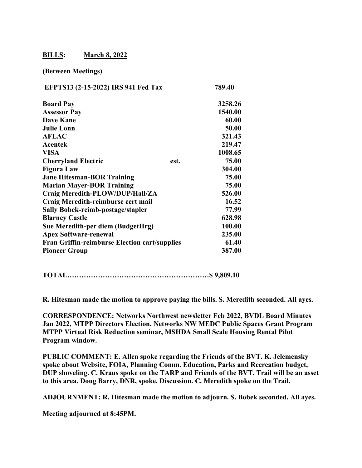## **BILLS: March 8, 2022**

## **(Between Meetings)**

| EFPTS13 (2-15-2022) IRS 941 Fed Tax                  |      | 789.40  |
|------------------------------------------------------|------|---------|
| <b>Board Pay</b>                                     |      | 3258.26 |
| <b>Assessor Pay</b>                                  |      | 1540.00 |
| <b>Dave Kane</b>                                     |      | 60.00   |
| <b>Julie Lonn</b>                                    |      | 50.00   |
| <b>AFLAC</b>                                         |      | 321.43  |
| Acentek                                              |      | 219.47  |
| <b>VISA</b>                                          |      | 1008.65 |
| <b>Cherryland Electric</b>                           | est. | 75.00   |
| <b>Figura Law</b>                                    |      | 304.00  |
| <b>Jane Hitesman-BOR Training</b>                    |      | 75.00   |
| <b>Marian Mayer-BOR Training</b>                     |      | 75.00   |
| Craig Meredith-PLOW/DUP/Hall/ZA                      |      | 526.00  |
| Craig Meredith-reimburse cert mail                   |      | 16.52   |
| <b>Sally Bobek-reimb-postage/stapler</b>             |      | 77.99   |
| <b>Blarney Castle</b>                                |      | 628.98  |
| Sue Meredith-per diem (BudgetHrg)                    |      | 100.00  |
| <b>Apex Software-renewal</b>                         |      | 235.00  |
| <b>Fran Griffin-reimburse Election cart/supplies</b> |      | 61.40   |
| <b>Pioneer Group</b>                                 |      | 387.00  |

**TOTAL……………………………………………………\$ 9,809.10** 

**R. Hitesman made the motion to approve paying the bills. S. Meredith seconded. All ayes.**

**CORRESPONDENCE: Networks Northwest newsletter Feb 2022, BVDL Board Minutes Jan 2022, MTPP Directors Election, Networks NW MEDC Public Spaces Grant Program MTPP Virtual Risk Reduction seminar, MSHDA Small Scale Housing Rental Pilot Program window.**

**PUBLIC COMMENT: E. Allen spoke regarding the Friends of the BVT. K. Jelemensky spoke about Website, FOIA, Planning Comm. Education, Parks and Recreation budget, DUP shoveling. C. Kraus spoke on the TARP and Friends of the BVT. Trail will be an asset to this area. Doug Barry, DNR, spoke. Discussion. C. Meredith spoke on the Trail.**

**ADJOURNMENT: R. Hitesman made the motion to adjourn. S. Bobek seconded. All ayes.**

**Meeting adjourned at 8:45PM.**